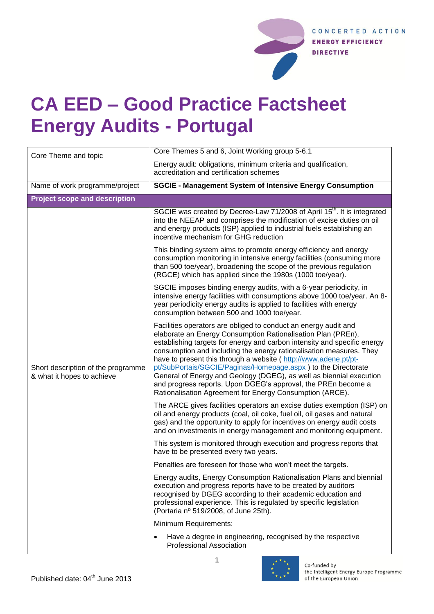

## **CA EED – Good Practice Factsheet Energy Audits - Portugal**

| Core Theme and topic                                             | Core Themes 5 and 6, Joint Working group 5-6.1                                                                                                                                                                                                                                                                                                                                                                                                                                                                                                                                                                             |  |
|------------------------------------------------------------------|----------------------------------------------------------------------------------------------------------------------------------------------------------------------------------------------------------------------------------------------------------------------------------------------------------------------------------------------------------------------------------------------------------------------------------------------------------------------------------------------------------------------------------------------------------------------------------------------------------------------------|--|
|                                                                  | Energy audit: obligations, minimum criteria and qualification,<br>accreditation and certification schemes                                                                                                                                                                                                                                                                                                                                                                                                                                                                                                                  |  |
| Name of work programme/project                                   | <b>SGCIE - Management System of Intensive Energy Consumption</b>                                                                                                                                                                                                                                                                                                                                                                                                                                                                                                                                                           |  |
| <b>Project scope and description</b>                             |                                                                                                                                                                                                                                                                                                                                                                                                                                                                                                                                                                                                                            |  |
| Short description of the programme<br>& what it hopes to achieve | SGCIE was created by Decree-Law 71/2008 of April 15 <sup>th</sup> . It is integrated<br>into the NEEAP and comprises the modification of excise duties on oil<br>and energy products (ISP) applied to industrial fuels establishing an<br>incentive mechanism for GHG reduction                                                                                                                                                                                                                                                                                                                                            |  |
|                                                                  | This binding system aims to promote energy efficiency and energy<br>consumption monitoring in intensive energy facilities (consuming more<br>than 500 toe/year), broadening the scope of the previous regulation<br>(RGCE) which has applied since the 1980s (1000 toe/year).                                                                                                                                                                                                                                                                                                                                              |  |
|                                                                  | SGCIE imposes binding energy audits, with a 6-year periodicity, in<br>intensive energy facilities with consumptions above 1000 toe/year. An 8-<br>year periodicity energy audits is applied to facilities with energy<br>consumption between 500 and 1000 toe/year.                                                                                                                                                                                                                                                                                                                                                        |  |
|                                                                  | Facilities operators are obliged to conduct an energy audit and<br>elaborate an Energy Consumption Rationalisation Plan (PREn),<br>establishing targets for energy and carbon intensity and specific energy<br>consumption and including the energy rationalisation measures. They<br>have to present this through a website (http://www.adene.pt/pt-<br>pt/SubPortais/SGCIE/Paginas/Homepage.aspx) to the Directorate<br>General of Energy and Geology (DGEG), as well as biennial execution<br>and progress reports. Upon DGEG's approval, the PREn become a<br>Rationalisation Agreement for Energy Consumption (ARCE). |  |
|                                                                  | The ARCE gives facilities operators an excise duties exemption (ISP) on<br>oil and energy products (coal, oil coke, fuel oil, oil gases and natural<br>gas) and the opportunity to apply for incentives on energy audit costs<br>and on investments in energy management and monitoring equipment.                                                                                                                                                                                                                                                                                                                         |  |
|                                                                  | This system is monitored through execution and progress reports that<br>have to be presented every two years.                                                                                                                                                                                                                                                                                                                                                                                                                                                                                                              |  |
|                                                                  | Penalties are foreseen for those who won't meet the targets.                                                                                                                                                                                                                                                                                                                                                                                                                                                                                                                                                               |  |
|                                                                  | Energy audits, Energy Consumption Rationalisation Plans and biennial<br>execution and progress reports have to be created by auditors<br>recognised by DGEG according to their academic education and<br>professional experience. This is regulated by specific legislation<br>(Portaria nº 519/2008, of June 25th).                                                                                                                                                                                                                                                                                                       |  |
|                                                                  | Minimum Requirements:                                                                                                                                                                                                                                                                                                                                                                                                                                                                                                                                                                                                      |  |
|                                                                  | Have a degree in engineering, recognised by the respective<br>$\bullet$<br><b>Professional Association</b>                                                                                                                                                                                                                                                                                                                                                                                                                                                                                                                 |  |

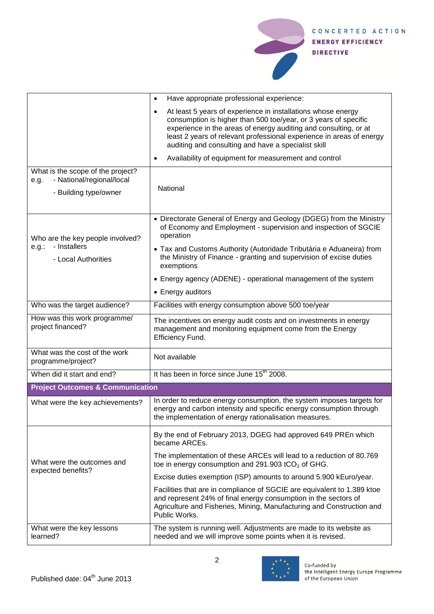

|                                                                                                 | Have appropriate professional experience:<br>$\bullet$                                                                                                                                                                                                                                                                                          |  |
|-------------------------------------------------------------------------------------------------|-------------------------------------------------------------------------------------------------------------------------------------------------------------------------------------------------------------------------------------------------------------------------------------------------------------------------------------------------|--|
|                                                                                                 | At least 5 years of experience in installations whose energy<br>$\bullet$<br>consumption is higher than 500 toe/year, or 3 years of specific<br>experience in the areas of energy auditing and consulting, or at<br>least 2 years of relevant professional experience in areas of energy<br>auditing and consulting and have a specialist skill |  |
|                                                                                                 | Availability of equipment for measurement and control<br>$\bullet$                                                                                                                                                                                                                                                                              |  |
| What is the scope of the project?<br>- National/regional/local<br>e.g.<br>- Building type/owner | National                                                                                                                                                                                                                                                                                                                                        |  |
| Who are the key people involved?<br>- Installers<br>e.g.:<br>- Local Authorities                | • Directorate General of Energy and Geology (DGEG) from the Ministry<br>of Economy and Employment - supervision and inspection of SGCIE<br>operation                                                                                                                                                                                            |  |
|                                                                                                 | • Tax and Customs Authority (Autoridade Tributária e Aduaneira) from<br>the Ministry of Finance - granting and supervision of excise duties<br>exemptions                                                                                                                                                                                       |  |
|                                                                                                 | • Energy agency (ADENE) - operational management of the system                                                                                                                                                                                                                                                                                  |  |
|                                                                                                 | • Energy auditors                                                                                                                                                                                                                                                                                                                               |  |
| Who was the target audience?                                                                    | Facilities with energy consumption above 500 toe/year                                                                                                                                                                                                                                                                                           |  |
| How was this work programme/<br>project financed?                                               | The incentives on energy audit costs and on investments in energy<br>management and monitoring equipment come from the Energy<br>Efficiency Fund.                                                                                                                                                                                               |  |
| What was the cost of the work<br>programme/project?                                             | Not available                                                                                                                                                                                                                                                                                                                                   |  |
| When did it start and end?                                                                      | It has been in force since June 15 <sup>th</sup> 2008.                                                                                                                                                                                                                                                                                          |  |
| <b>Project Outcomes &amp; Communication</b>                                                     |                                                                                                                                                                                                                                                                                                                                                 |  |
| What were the key achievements?                                                                 | In order to reduce energy consumption, the system imposes targets for<br>energy and carbon intensity and specific energy consumption through<br>the implementation of energy rationalisation measures.                                                                                                                                          |  |
| What were the outcomes and<br>expected benefits?                                                | By the end of February 2013, DGEG had approved 649 PREn which<br>became ARCEs.                                                                                                                                                                                                                                                                  |  |
|                                                                                                 | The implementation of these ARCEs will lead to a reduction of 80.769<br>toe in energy consumption and $291.903$ tCO <sub>2</sub> of GHG.                                                                                                                                                                                                        |  |
|                                                                                                 | Excise duties exemption (ISP) amounts to around 5.900 kEuro/year.                                                                                                                                                                                                                                                                               |  |
|                                                                                                 | Facilities that are in compliance of SGCIE are equivalent to 1.389 ktoe<br>and represent 24% of final energy consumption in the sectors of<br>Agriculture and Fisheries, Mining, Manufacturing and Construction and<br>Public Works.                                                                                                            |  |
| What were the key lessons<br>learned?                                                           | The system is running well. Adjustments are made to its website as<br>needed and we will improve some points when it is revised.                                                                                                                                                                                                                |  |